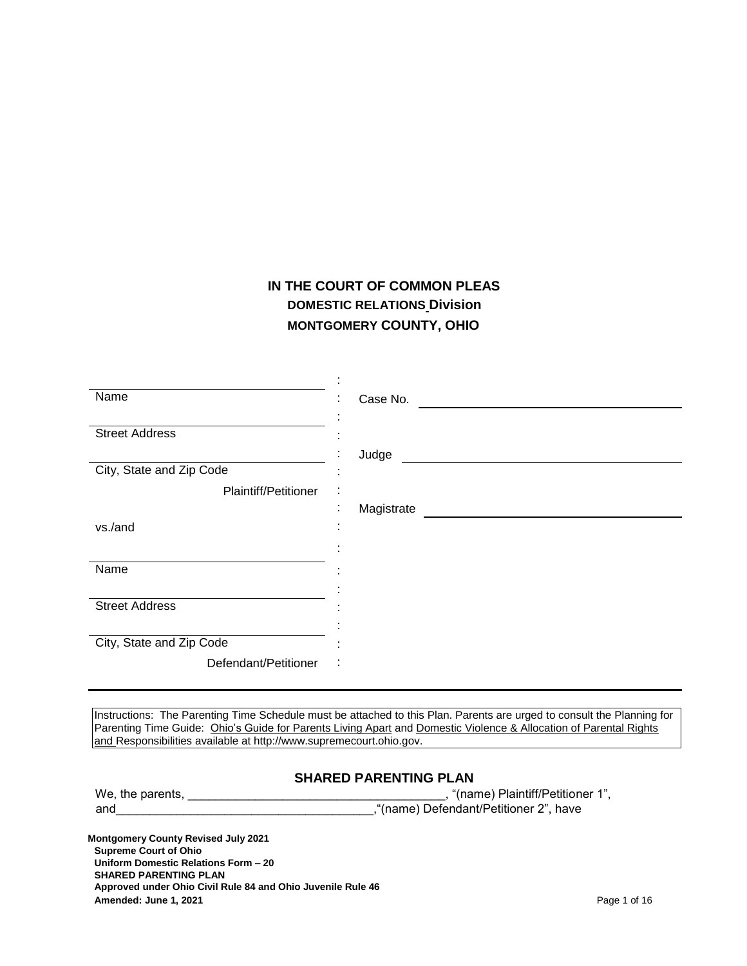# **IN THE COURT OF COMMON PLEAS DOMESTIC RELATIONS Division MONTGOMERY COUNTY, OHIO**

| Name                     | Case No.                          |
|--------------------------|-----------------------------------|
| <b>Street Address</b>    |                                   |
| City, State and Zip Code | Judge<br>$\overline{\phantom{a}}$ |
| Plaintiff/Petitioner     | ÷<br>٠                            |
| vs./and                  | Magistrate                        |
|                          |                                   |
| Name                     |                                   |
| <b>Street Address</b>    |                                   |
|                          |                                   |
| City, State and Zip Code |                                   |
| Defendant/Petitioner     | $\ddot{\phantom{a}}$              |

Instructions: The Parenting Time Schedule must be attached to this Plan. Parents are urged to consult the Planning for Parenting Time Guide: Ohio's Guide for Parents Living Apart and Domestic Violence & Allocation of Parental Rights and Responsibilities available at http://www.supremecourt.ohio.gov.

# **SHARED PARENTING PLAN**

| We, the parents, | "(name) Plaintiff/Petitioner 1",      |
|------------------|---------------------------------------|
| and              | "(name) Defendant/Petitioner 2", have |

**Montgomery County Revised July 2021 Supreme Court of Ohio Uniform Domestic Relations Form – 20 SHARED PARENTING PLAN Approved under Ohio Civil Rule 84 and Ohio Juvenile Rule 46 Amended: June 1, 2021** Page 1 of 16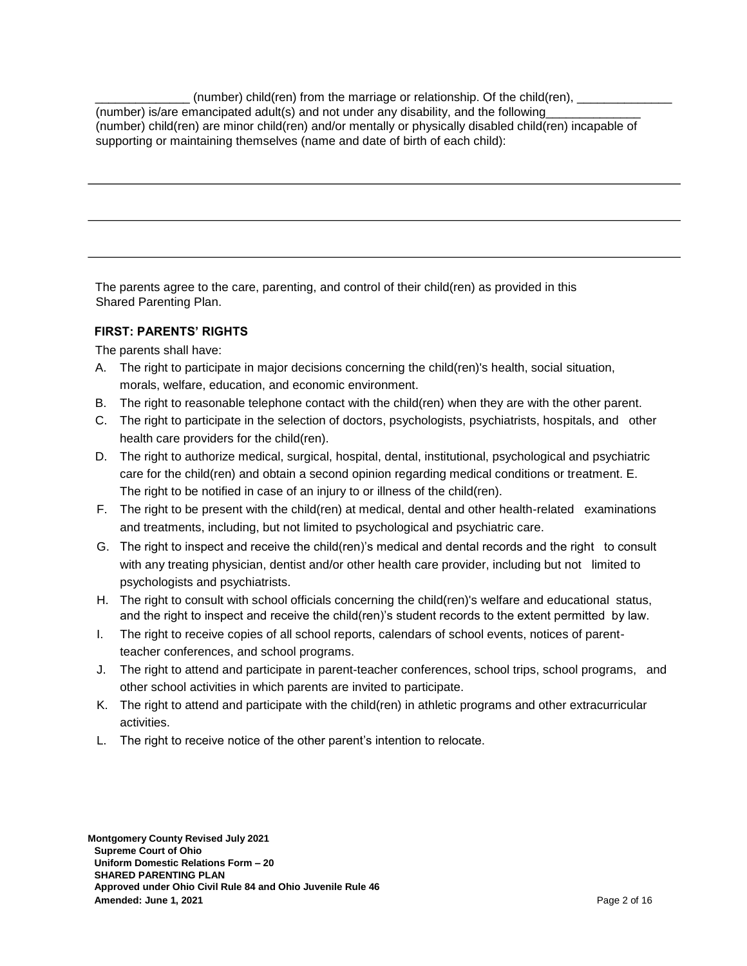$(number)$  child(ren) from the marriage or relationship. Of the child(ren), (number) is/are emancipated adult(s) and not under any disability, and the following (number) child(ren) are minor child(ren) and/or mentally or physically disabled child(ren) incapable of supporting or maintaining themselves (name and date of birth of each child):

The parents agree to the care, parenting, and control of their child(ren) as provided in this Shared Parenting Plan.

## **FIRST: PARENTS' RIGHTS**

The parents shall have:

- A. The right to participate in major decisions concerning the child(ren)'s health, social situation, morals, welfare, education, and economic environment.
- B. The right to reasonable telephone contact with the child(ren) when they are with the other parent.
- C. The right to participate in the selection of doctors, psychologists, psychiatrists, hospitals, and other health care providers for the child(ren).
- D. The right to authorize medical, surgical, hospital, dental, institutional, psychological and psychiatric care for the child(ren) and obtain a second opinion regarding medical conditions or treatment. E. The right to be notified in case of an injury to or illness of the child(ren).
- F. The right to be present with the child(ren) at medical, dental and other health-related examinations and treatments, including, but not limited to psychological and psychiatric care.
- G. The right to inspect and receive the child(ren)'s medical and dental records and the right to consult with any treating physician, dentist and/or other health care provider, including but not limited to psychologists and psychiatrists.
- H. The right to consult with school officials concerning the child(ren)'s welfare and educational status, and the right to inspect and receive the child(ren)'s student records to the extent permitted by law.
- I. The right to receive copies of all school reports, calendars of school events, notices of parentteacher conferences, and school programs.
- J. The right to attend and participate in parent-teacher conferences, school trips, school programs, and other school activities in which parents are invited to participate.
- K. The right to attend and participate with the child(ren) in athletic programs and other extracurricular activities.
- L. The right to receive notice of the other parent's intention to relocate.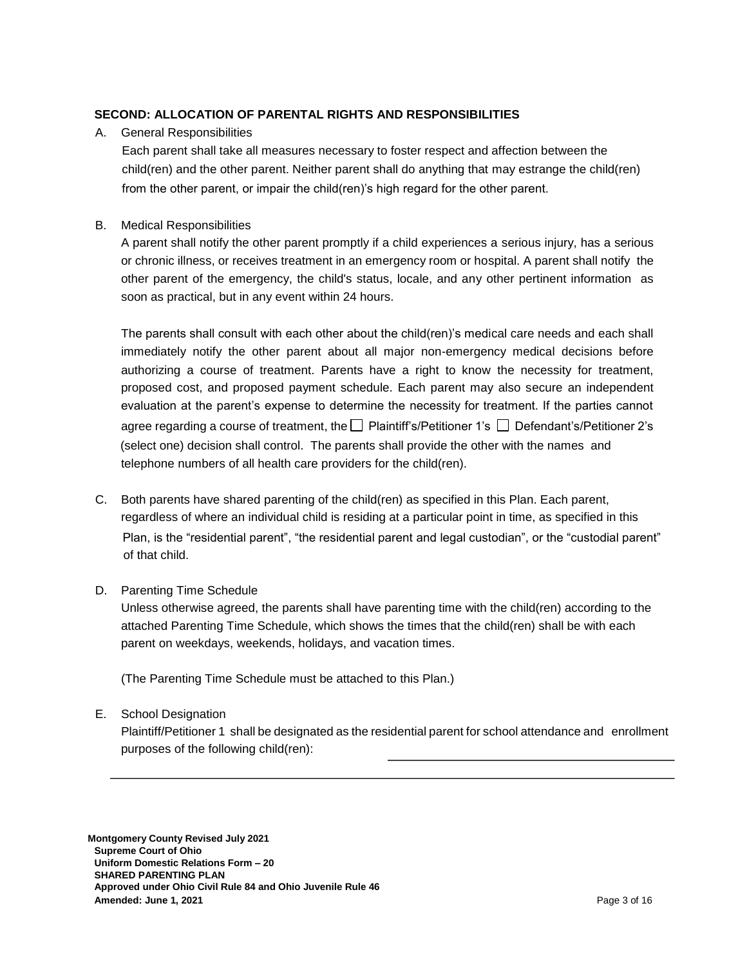# **SECOND: ALLOCATION OF PARENTAL RIGHTS AND RESPONSIBILITIES**

## A. General Responsibilities

Each parent shall take all measures necessary to foster respect and affection between the child(ren) and the other parent. Neither parent shall do anything that may estrange the child(ren) from the other parent, or impair the child(ren)'s high regard for the other parent.

# B. Medical Responsibilities

A parent shall notify the other parent promptly if a child experiences a serious injury, has a serious or chronic illness, or receives treatment in an emergency room or hospital. A parent shall notify the other parent of the emergency, the child's status, locale, and any other pertinent information as soon as practical, but in any event within 24 hours.

The parents shall consult with each other about the child(ren)'s medical care needs and each shall immediately notify the other parent about all major non-emergency medical decisions before authorizing a course of treatment. Parents have a right to know the necessity for treatment, proposed cost, and proposed payment schedule. Each parent may also secure an independent evaluation at the parent's expense to determine the necessity for treatment. If the parties cannot agree regarding a course of treatment, the  $\square$  Plaintiff's/Petitioner 1's  $\square$  Defendant's/Petitioner 2's (select one) decision shall control. The parents shall provide the other with the names and telephone numbers of all health care providers for the child(ren).

C. Both parents have shared parenting of the child(ren) as specified in this Plan. Each parent, regardless of where an individual child is residing at a particular point in time, as specified in this Plan, is the "residential parent", "the residential parent and legal custodian", or the "custodial parent" of that child.

# D. Parenting Time Schedule

Unless otherwise agreed, the parents shall have parenting time with the child(ren) according to the attached Parenting Time Schedule, which shows the times that the child(ren) shall be with each parent on weekdays, weekends, holidays, and vacation times.

(The Parenting Time Schedule must be attached to this Plan.)

# E. School Designation

Plaintiff/Petitioner 1 shall be designated as the residential parent for school attendance and enrollment purposes of the following child(ren):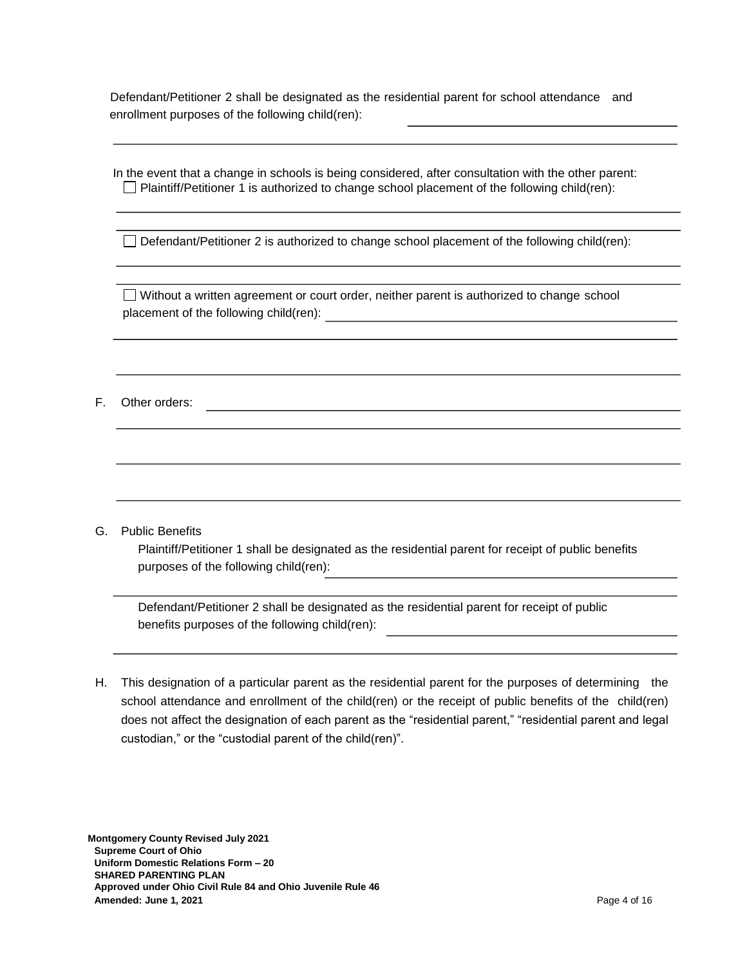Defendant/Petitioner 2 shall be designated as the residential parent for school attendance and enrollment purposes of the following child(ren):

In the event that a change in schools is being considered, after consultation with the other parent:  $\Box$  Plaintiff/Petitioner 1 is authorized to change school placement of the following child(ren):

 $\Box$  Defendant/Petitioner 2 is authorized to change school placement of the following child(ren):

Without a written agreement or court order, neither parent is authorized to change school placement of the following child(ren):  $\qquad \qquad \qquad$ 

F. Other orders:

G. Public Benefits

Plaintiff/Petitioner 1 shall be designated as the residential parent for receipt of public benefits purposes of the following child(ren):

Defendant/Petitioner 2 shall be designated as the residential parent for receipt of public benefits purposes of the following child(ren):

H. This designation of a particular parent as the residential parent for the purposes of determining the school attendance and enrollment of the child(ren) or the receipt of public benefits of the child(ren) does not affect the designation of each parent as the "residential parent," "residential parent and legal custodian," or the "custodial parent of the child(ren)".

**Montgomery County Revised July 2021 Supreme Court of Ohio Uniform Domestic Relations Form – 20 SHARED PARENTING PLAN Approved under Ohio Civil Rule 84 and Ohio Juvenile Rule 46 Amended: June 1, 2021** Page 4 of 16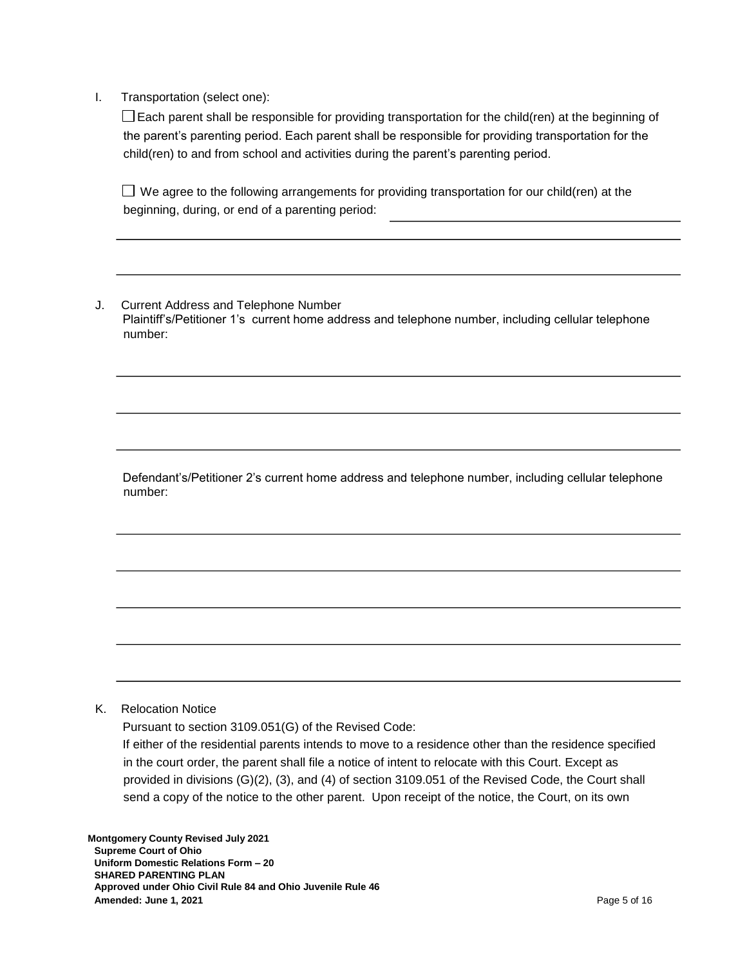I. Transportation (select one):

 $\Box$  Each parent shall be responsible for providing transportation for the child(ren) at the beginning of the parent's parenting period. Each parent shall be responsible for providing transportation for the child(ren) to and from school and activities during the parent's parenting period.

 $\Box$  We agree to the following arrangements for providing transportation for our child(ren) at the beginning, during, or end of a parenting period:

J. Current Address and Telephone Number Plaintiff's/Petitioner 1's current home address and telephone number, including cellular telephone number:

Defendant's/Petitioner 2's current home address and telephone number, including cellular telephone number:

#### K. Relocation Notice

Pursuant to section 3109.051(G) of the Revised Code:

If either of the residential parents intends to move to a residence other than the residence specified in the court order, the parent shall file a notice of intent to relocate with this Court. Except as provided in divisions (G)(2), (3), and (4) of section 3109.051 of the Revised Code, the Court shall send a copy of the notice to the other parent. Upon receipt of the notice, the Court, on its own

**Montgomery County Revised July 2021 Supreme Court of Ohio Uniform Domestic Relations Form – 20 SHARED PARENTING PLAN Approved under Ohio Civil Rule 84 and Ohio Juvenile Rule 46 Amended: June 1, 2021** Page 5 of 16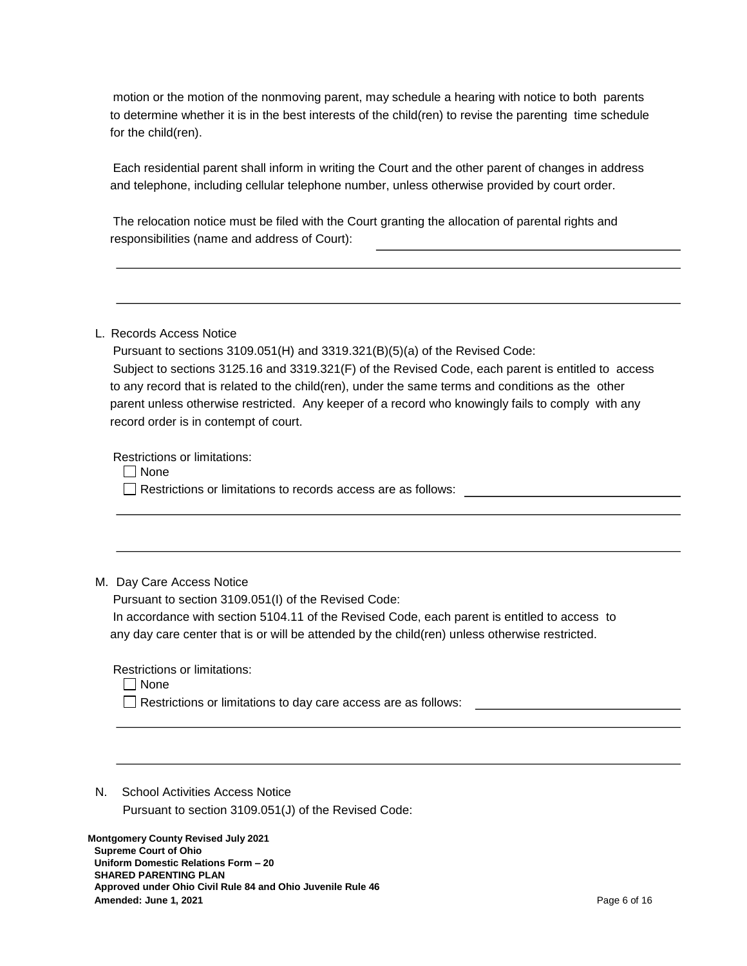motion or the motion of the nonmoving parent, may schedule a hearing with notice to both parents to determine whether it is in the best interests of the child(ren) to revise the parenting time schedule for the child(ren).

Each residential parent shall inform in writing the Court and the other parent of changes in address and telephone, including cellular telephone number, unless otherwise provided by court order.

The relocation notice must be filed with the Court granting the allocation of parental rights and responsibilities (name and address of Court):

#### L. Records Access Notice

Pursuant to sections 3109.051(H) and 3319.321(B)(5)(a) of the Revised Code: Subject to sections 3125.16 and 3319.321(F) of the Revised Code, each parent is entitled to access to any record that is related to the child(ren), under the same terms and conditions as the other parent unless otherwise restricted. Any keeper of a record who knowingly fails to comply with any record order is in contempt of court.

Restrictions or limitations:

 $\Box$  None

Restrictions or limitations to records access are as follows:

#### M. Day Care Access Notice

Pursuant to section 3109.051(I) of the Revised Code:

In accordance with section 5104.11 of the Revised Code, each parent is entitled to access to any day care center that is or will be attended by the child(ren) unless otherwise restricted.

Restrictions or limitations:

None

Restrictions or limitations to day care access are as follows:

N. School Activities Access Notice

Pursuant to section 3109.051(J) of the Revised Code:

**Montgomery County Revised July 2021 Supreme Court of Ohio Uniform Domestic Relations Form – 20 SHARED PARENTING PLAN Approved under Ohio Civil Rule 84 and Ohio Juvenile Rule 46 Amended: June 1, 2021** Page 6 of 16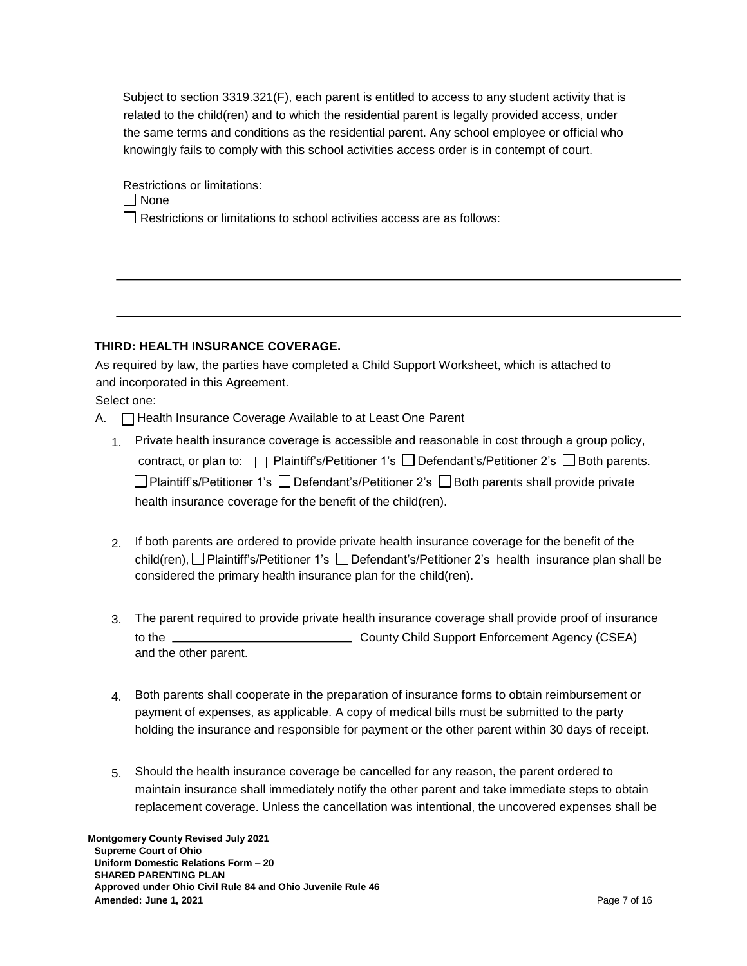Subject to section 3319.321(F), each parent is entitled to access to any student activity that is related to the child(ren) and to which the residential parent is legally provided access, under the same terms and conditions as the residential parent. Any school employee or official who knowingly fails to comply with this school activities access order is in contempt of court.

Restrictions or limitations:

None

 $\Box$  Restrictions or limitations to school activities access are as follows:

## **THIRD: HEALTH INSURANCE COVERAGE.**

As required by law, the parties have completed a Child Support Worksheet, which is attached to and incorporated in this Agreement.

Select one:

- A.  $\Box$  Health Insurance Coverage Available to at Least One Parent
	- 1. Private health insurance coverage is accessible and reasonable in cost through a group policy, contract, or plan to:  $\Box$  Plaintiff's/Petitioner 1's  $\Box$  Defendant's/Petitioner 2's  $\Box$  Both parents.  $\square$  Plaintiff's/Petitioner 1's  $\square$  Defendant's/Petitioner 2's  $\square$  Both parents shall provide private health insurance coverage for the benefit of the child(ren).
	- 2. If both parents are ordered to provide private health insurance coverage for the benefit of the child(ren),  $\Box$  Plaintiff's/Petitioner 1's  $\Box$  Defendant's/Petitioner 2's health insurance plan shall be considered the primary health insurance plan for the child(ren).
	- 3. The parent required to provide private health insurance coverage shall provide proof of insurance to the <u>County County Child Support Enforcement Agency</u> (CSEA) and the other parent.
	- 4. Both parents shall cooperate in the preparation of insurance forms to obtain reimbursement or payment of expenses, as applicable. A copy of medical bills must be submitted to the party holding the insurance and responsible for payment or the other parent within 30 days of receipt.
	- 5. Should the health insurance coverage be cancelled for any reason, the parent ordered to maintain insurance shall immediately notify the other parent and take immediate steps to obtain replacement coverage. Unless the cancellation was intentional, the uncovered expenses shall be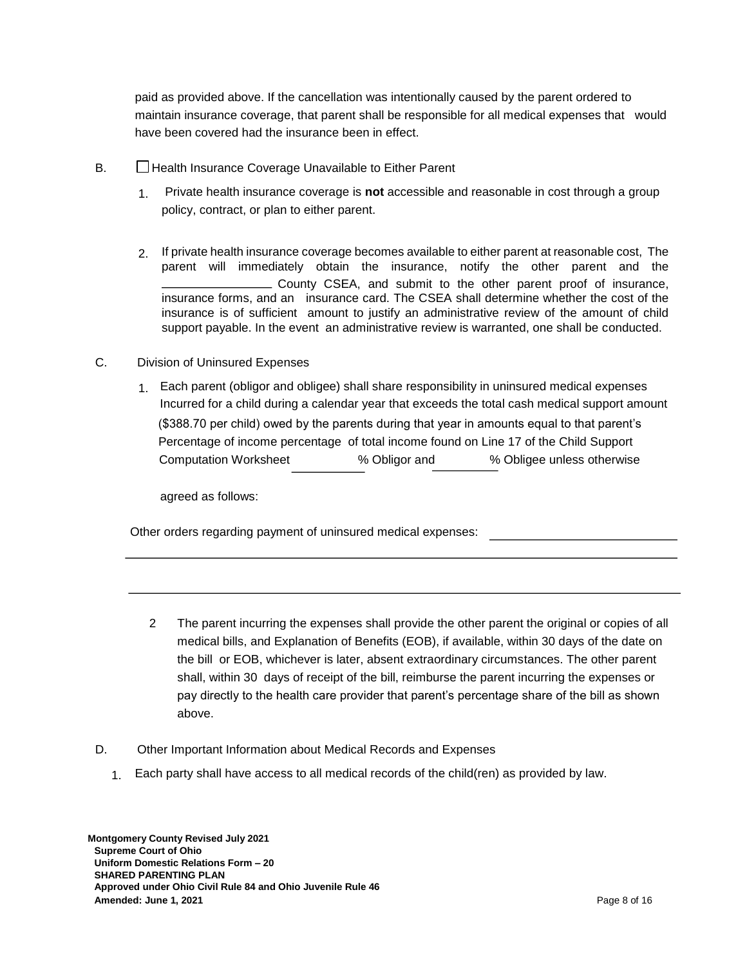paid as provided above. If the cancellation was intentionally caused by the parent ordered to maintain insurance coverage, that parent shall be responsible for all medical expenses that would have been covered had the insurance been in effect.

- B. **Health Insurance Coverage Unavailable to Either Parent** 
	- 1. Private health insurance coverage is **not** accessible and reasonable in cost through a group policy, contract, or plan to either parent.
	- 2. If private health insurance coverage becomes available to either parent at reasonable cost, The parent will immediately obtain the insurance, notify the other parent and the County CSEA, and submit to the other parent proof of insurance, insurance forms, and an insurance card. The CSEA shall determine whether the cost of the insurance is of sufficient amount to justify an administrative review of the amount of child support payable. In the event an administrative review is warranted, one shall be conducted.
- C. Division of Uninsured Expenses
	- 1. Each parent (obligor and obligee) shall share responsibility in uninsured medical expenses Incurred for a child during a calendar year that exceeds the total cash medical support amount (\$388.70 per child) owed by the parents during that year in amounts equal to that parent's Percentage of income percentage of total income found on Line 17 of the Child Support Computation Worksheet % Obligor and % Obligee unless otherwise

agreed as follows:

Other orders regarding payment of uninsured medical expenses:

- 2 The parent incurring the expenses shall provide the other parent the original or copies of all medical bills, and Explanation of Benefits (EOB), if available, within 30 days of the date on the bill or EOB, whichever is later, absent extraordinary circumstances. The other parent shall, within 30 days of receipt of the bill, reimburse the parent incurring the expenses or pay directly to the health care provider that parent's percentage share of the bill as shown above.
- D. Other Important Information about Medical Records and Expenses
	- 1. Each party shall have access to all medical records of the child(ren) as provided by law.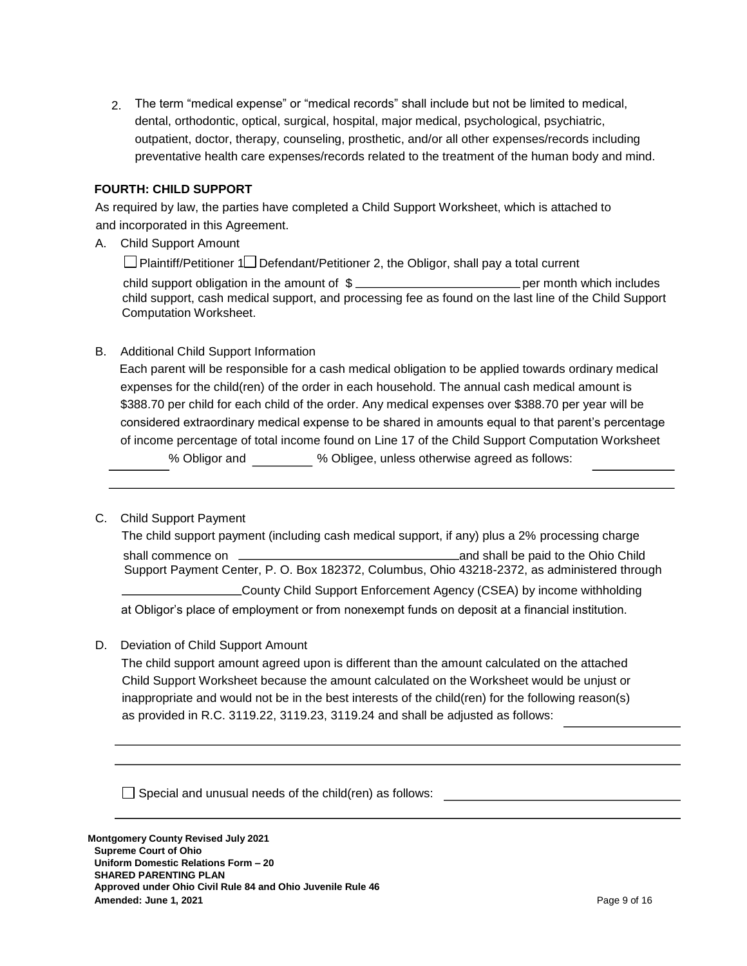2. The term "medical expense" or "medical records" shall include but not be limited to medical, dental, orthodontic, optical, surgical, hospital, major medical, psychological, psychiatric, outpatient, doctor, therapy, counseling, prosthetic, and/or all other expenses/records including preventative health care expenses/records related to the treatment of the human body and mind.

## **FOURTH: CHILD SUPPORT**

As required by law, the parties have completed a Child Support Worksheet, which is attached to and incorporated in this Agreement.

A. Child Support Amount

 $\Box$  Plaintiff/Petitioner 1 $\Box$  Defendant/Petitioner 2, the Obligor, shall pay a total current

child support obligation in the amount of  $\frac{2}{3}$  per month which includes child support, cash medical support, and processing fee as found on the last line of the Child Support Computation Worksheet.

# B. Additional Child Support Information

Each parent will be responsible for a cash medical obligation to be applied towards ordinary medical expenses for the child(ren) of the order in each household. The annual cash medical amount is \$388.70 per child for each child of the order. Any medical expenses over \$388.70 per year will be considered extraordinary medical expense to be shared in amounts equal to that parent's percentage of income percentage of total income found on Line 17 of the Child Support Computation Worksheet % Obligor and % Obligee, unless otherwise agreed as follows:

#### C. Child Support Payment

 The child support payment (including cash medical support, if any) plus a 2% processing charge shall commence on and shall be paid to the Ohio Child Support Payment Center, P. O. Box 182372, Columbus, Ohio 43218-2372, as administered through County Child Support Enforcement Agency (CSEA) by income withholding at Obligor's place of employment or from nonexempt funds on deposit at a financial institution.

D. Deviation of Child Support Amount

The child support amount agreed upon is different than the amount calculated on the attached Child Support Worksheet because the amount calculated on the Worksheet would be unjust or inappropriate and would not be in the best interests of the child(ren) for the following reason(s) as provided in R.C. 3119.22, 3119.23, 3119.24 and shall be adjusted as follows:

 $\Box$  Special and unusual needs of the child(ren) as follows: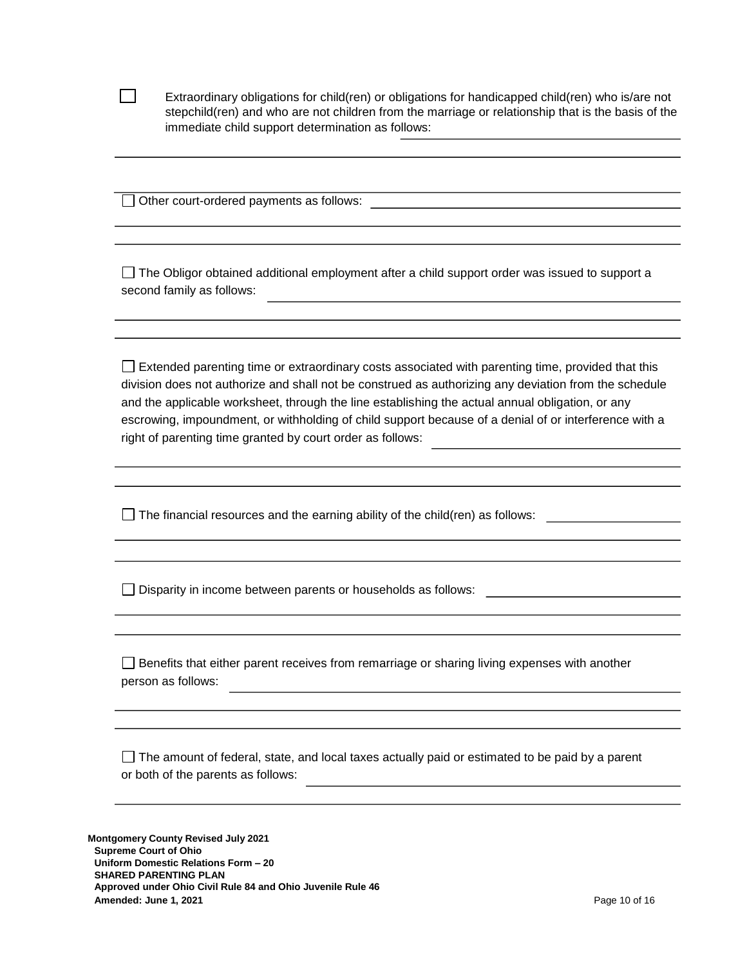| Extraordinary obligations for child(ren) or obligations for handicapped child(ren) who is/are not  |
|----------------------------------------------------------------------------------------------------|
| stepchild(ren) and who are not children from the marriage or relationship that is the basis of the |
| immediate child support determination as follows:                                                  |

□ Other court-ordered payments as follows:

 $\mathbf{I}$ 

 $\Box$  The Obligor obtained additional employment after a child support order was issued to support a second family as follows:

 $\Box$  Extended parenting time or extraordinary costs associated with parenting time, provided that this division does not authorize and shall not be construed as authorizing any deviation from the schedule and the applicable worksheet, through the line establishing the actual annual obligation, or any escrowing, impoundment, or withholding of child support because of a denial of or interference with a right of parenting time granted by court order as follows:

□ The financial resources and the earning ability of the child(ren) as follows: □

Disparity in income between parents or households as follows:

 $\Box$  Benefits that either parent receives from remarriage or sharing living expenses with another person as follows:

 $\Box$  The amount of federal, state, and local taxes actually paid or estimated to be paid by a parent or both of the parents as follows:

**Montgomery County Revised July 2021 Supreme Court of Ohio Uniform Domestic Relations Form – 20 SHARED PARENTING PLAN Approved under Ohio Civil Rule 84 and Ohio Juvenile Rule 46 Amended: June 1, 2021 Page 10 of 16**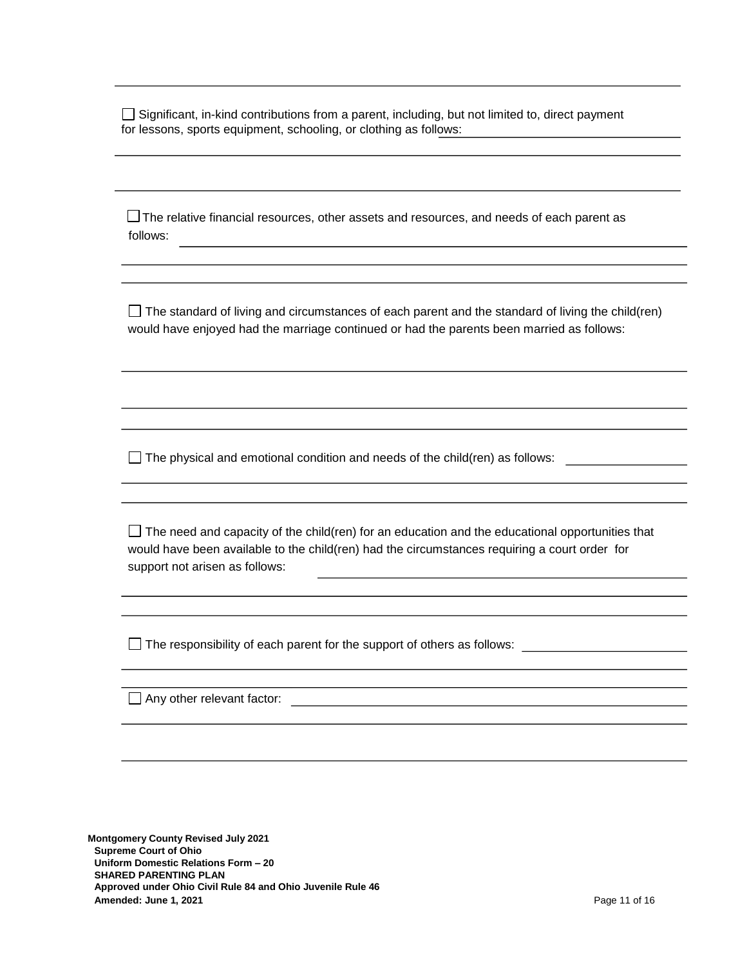$\Box$  Significant, in-kind contributions from a parent, including, but not limited to, direct payment for lessons, sports equipment, schooling, or clothing as follows:

 $\Box$  The relative financial resources, other assets and resources, and needs of each parent as follows:

 $\Box$  The standard of living and circumstances of each parent and the standard of living the child(ren) would have enjoyed had the marriage continued or had the parents been married as follows:

 $\Box$  The physical and emotional condition and needs of the child(ren) as follows:

 $\Box$  The need and capacity of the child(ren) for an education and the educational opportunities that would have been available to the child(ren) had the circumstances requiring a court order for support not arisen as follows:

 $\Box$  The responsibility of each parent for the support of others as follows:

Any other relevant factor:

**Montgomery County Revised July 2021 Supreme Court of Ohio Uniform Domestic Relations Form – 20 SHARED PARENTING PLAN Approved under Ohio Civil Rule 84 and Ohio Juvenile Rule 46 Amended: June 1, 2021 Page 11 of 16 Page 11 of 16 Page 11 of 16 Page 11 of 16**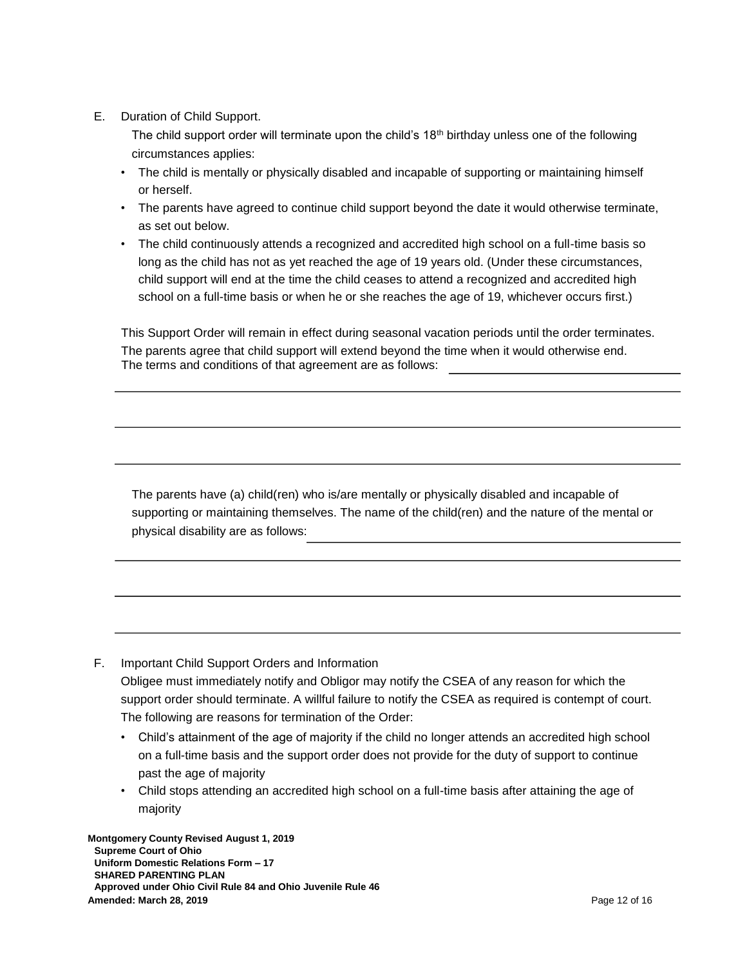E. Duration of Child Support.

The child support order will terminate upon the child's 18<sup>th</sup> birthday unless one of the following circumstances applies:

- The child is mentally or physically disabled and incapable of supporting or maintaining himself or herself.
- The parents have agreed to continue child support beyond the date it would otherwise terminate, as set out below.
- The child continuously attends a recognized and accredited high school on a full-time basis so long as the child has not as yet reached the age of 19 years old. (Under these circumstances, child support will end at the time the child ceases to attend a recognized and accredited high school on a full-time basis or when he or she reaches the age of 19, whichever occurs first.)

This Support Order will remain in effect during seasonal vacation periods until the order terminates. The parents agree that child support will extend beyond the time when it would otherwise end. The terms and conditions of that agreement are as follows:

The parents have (a) child(ren) who is/are mentally or physically disabled and incapable of supporting or maintaining themselves. The name of the child(ren) and the nature of the mental or physical disability are as follows:

- F. Important Child Support Orders and Information Obligee must immediately notify and Obligor may notify the CSEA of any reason for which the support order should terminate. A willful failure to notify the CSEA as required is contempt of court. The following are reasons for termination of the Order:
	- Child's attainment of the age of majority if the child no longer attends an accredited high school on a full-time basis and the support order does not provide for the duty of support to continue past the age of majority
	- Child stops attending an accredited high school on a full-time basis after attaining the age of majority

**Montgomery County Revised August 1, 2019 Supreme Court of Ohio Uniform Domestic Relations Form – 17 SHARED PARENTING PLAN Approved under Ohio Civil Rule 84 and Ohio Juvenile Rule 46 Amended: March 28, 2019 Page 12 of 16**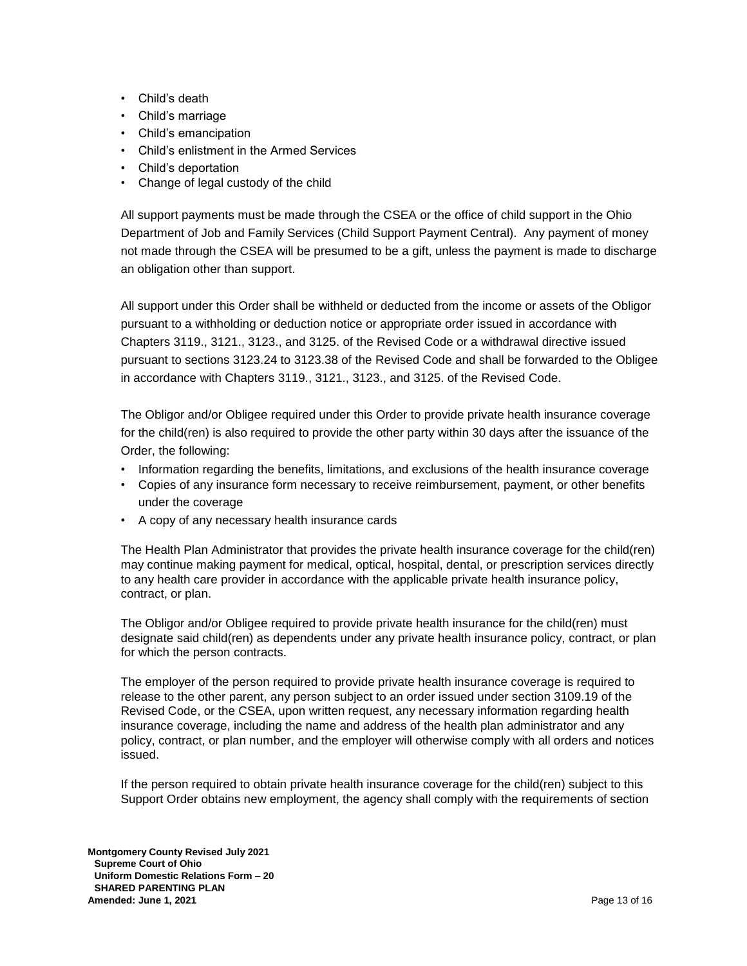- Child's death
- Child's marriage
- Child's emancipation
- Child's enlistment in the Armed Services
- Child's deportation
- Change of legal custody of the child

All support payments must be made through the CSEA or the office of child support in the Ohio Department of Job and Family Services (Child Support Payment Central). Any payment of money not made through the CSEA will be presumed to be a gift, unless the payment is made to discharge an obligation other than support.

All support under this Order shall be withheld or deducted from the income or assets of the Obligor pursuant to a withholding or deduction notice or appropriate order issued in accordance with Chapters 3119., 3121., 3123., and 3125. of the Revised Code or a withdrawal directive issued pursuant to sections 3123.24 to 3123.38 of the Revised Code and shall be forwarded to the Obligee in accordance with Chapters 3119., 3121., 3123., and 3125. of the Revised Code.

The Obligor and/or Obligee required under this Order to provide private health insurance coverage for the child(ren) is also required to provide the other party within 30 days after the issuance of the Order, the following:

- Information regarding the benefits, limitations, and exclusions of the health insurance coverage
- Copies of any insurance form necessary to receive reimbursement, payment, or other benefits under the coverage
- A copy of any necessary health insurance cards

The Health Plan Administrator that provides the private health insurance coverage for the child(ren) may continue making payment for medical, optical, hospital, dental, or prescription services directly to any health care provider in accordance with the applicable private health insurance policy, contract, or plan.

The Obligor and/or Obligee required to provide private health insurance for the child(ren) must designate said child(ren) as dependents under any private health insurance policy, contract, or plan for which the person contracts.

The employer of the person required to provide private health insurance coverage is required to release to the other parent, any person subject to an order issued under section 3109.19 of the Revised Code, or the CSEA, upon written request, any necessary information regarding health insurance coverage, including the name and address of the health plan administrator and any policy, contract, or plan number, and the employer will otherwise comply with all orders and notices issued.

If the person required to obtain private health insurance coverage for the child(ren) subject to this Support Order obtains new employment, the agency shall comply with the requirements of section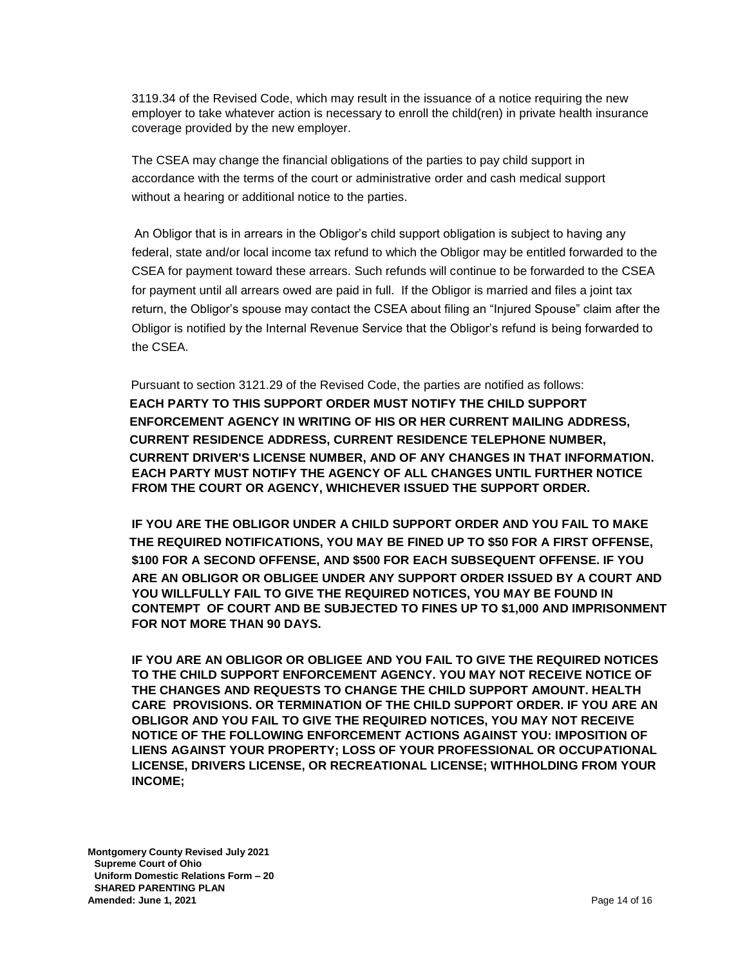3119.34 of the Revised Code, which may result in the issuance of a notice requiring the new employer to take whatever action is necessary to enroll the child(ren) in private health insurance coverage provided by the new employer.

The CSEA may change the financial obligations of the parties to pay child support in accordance with the terms of the court or administrative order and cash medical support without a hearing or additional notice to the parties.

An Obligor that is in arrears in the Obligor's child support obligation is subject to having any federal, state and/or local income tax refund to which the Obligor may be entitled forwarded to the CSEA for payment toward these arrears. Such refunds will continue to be forwarded to the CSEA for payment until all arrears owed are paid in full. If the Obligor is married and files a joint tax return, the Obligor's spouse may contact the CSEA about filing an "Injured Spouse" claim after the Obligor is notified by the Internal Revenue Service that the Obligor's refund is being forwarded to the CSEA.

Pursuant to section 3121.29 of the Revised Code, the parties are notified as follows: **EACH PARTY TO THIS SUPPORT ORDER MUST NOTIFY THE CHILD SUPPORT ENFORCEMENT AGENCY IN WRITING OF HIS OR HER CURRENT MAILING ADDRESS, CURRENT RESIDENCE ADDRESS, CURRENT RESIDENCE TELEPHONE NUMBER, CURRENT DRIVER'S LICENSE NUMBER, AND OF ANY CHANGES IN THAT INFORMATION. EACH PARTY MUST NOTIFY THE AGENCY OF ALL CHANGES UNTIL FURTHER NOTICE FROM THE COURT OR AGENCY, WHICHEVER ISSUED THE SUPPORT ORDER.** 

**IF YOU ARE THE OBLIGOR UNDER A CHILD SUPPORT ORDER AND YOU FAIL TO MAKE THE REQUIRED NOTIFICATIONS, YOU MAY BE FINED UP TO \$50 FOR A FIRST OFFENSE, \$100 FOR A SECOND OFFENSE, AND \$500 FOR EACH SUBSEQUENT OFFENSE. IF YOU ARE AN OBLIGOR OR OBLIGEE UNDER ANY SUPPORT ORDER ISSUED BY A COURT AND YOU WILLFULLY FAIL TO GIVE THE REQUIRED NOTICES, YOU MAY BE FOUND IN CONTEMPT OF COURT AND BE SUBJECTED TO FINES UP TO \$1,000 AND IMPRISONMENT FOR NOT MORE THAN 90 DAYS.** 

**IF YOU ARE AN OBLIGOR OR OBLIGEE AND YOU FAIL TO GIVE THE REQUIRED NOTICES TO THE CHILD SUPPORT ENFORCEMENT AGENCY. YOU MAY NOT RECEIVE NOTICE OF THE CHANGES AND REQUESTS TO CHANGE THE CHILD SUPPORT AMOUNT. HEALTH CARE PROVISIONS. OR TERMINATION OF THE CHILD SUPPORT ORDER. IF YOU ARE AN OBLIGOR AND YOU FAIL TO GIVE THE REQUIRED NOTICES, YOU MAY NOT RECEIVE NOTICE OF THE FOLLOWING ENFORCEMENT ACTIONS AGAINST YOU: IMPOSITION OF LIENS AGAINST YOUR PROPERTY; LOSS OF YOUR PROFESSIONAL OR OCCUPATIONAL LICENSE, DRIVERS LICENSE, OR RECREATIONAL LICENSE; WITHHOLDING FROM YOUR INCOME;** 

**Montgomery County Revised July 2021 Supreme Court of Ohio Uniform Domestic Relations Form – 20 SHARED PARENTING PLAN Amended: June 1, 2021 Page 14 of 16**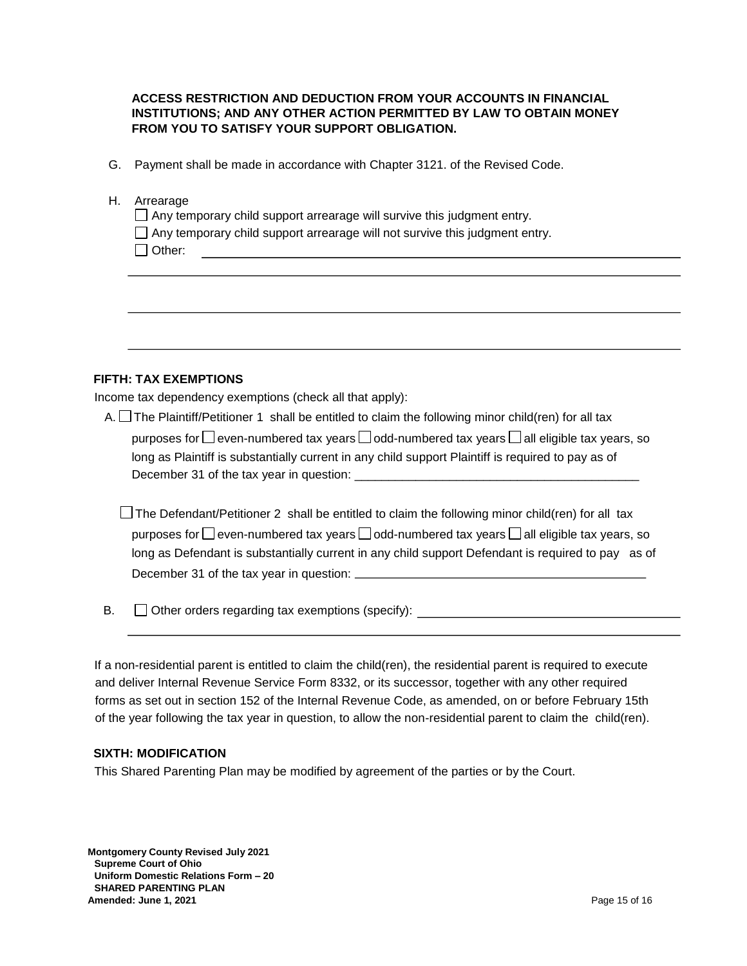# **ACCESS RESTRICTION AND DEDUCTION FROM YOUR ACCOUNTS IN FINANCIAL INSTITUTIONS; AND ANY OTHER ACTION PERMITTED BY LAW TO OBTAIN MONEY FROM YOU TO SATISFY YOUR SUPPORT OBLIGATION.**

G. Payment shall be made in accordance with Chapter 3121. of the Revised Code.

## H. Arrearage

 $\Box$  Any temporary child support arrearage will survive this judgment entry.

Any temporary child support arrearage will not survive this judgment entry.

# **FIFTH: TAX EXEMPTIONS**

Income tax dependency exemptions (check all that apply):

| A. $\Box$ The Plaintiff/Petitioner 1 shall be entitled to claim the following minor child(ren) for all tax           |
|----------------------------------------------------------------------------------------------------------------------|
| purposes for $\square$ even-numbered tax years $\square$ odd-numbered tax years $\square$ all eligible tax years, so |
| long as Plaintiff is substantially current in any child support Plaintiff is required to pay as of                   |
| December 31 of the tax year in question:                                                                             |

 $\Box$  The Defendant/Petitioner 2 shall be entitled to claim the following minor child(ren) for all tax purposes for  $\Box$  even-numbered tax years  $\Box$  odd-numbered tax years  $\Box$  all eligible tax years, so long as Defendant is substantially current in any child support Defendant is required to pay as of December 31 of the tax year in question:

 B.  $\Box$  Other orders regarding tax exemptions (specify):

If a non-residential parent is entitled to claim the child(ren), the residential parent is required to execute and deliver Internal Revenue Service Form 8332, or its successor, together with any other required forms as set out in section 152 of the Internal Revenue Code, as amended, on or before February 15th of the year following the tax year in question, to allow the non-residential parent to claim the child(ren).

## **SIXTH: MODIFICATION**

This Shared Parenting Plan may be modified by agreement of the parties or by the Court.

**Montgomery County Revised July 2021 Supreme Court of Ohio Uniform Domestic Relations Form – 20 SHARED PARENTING PLAN Amended: June 1, 2021 Page 15 of 16**